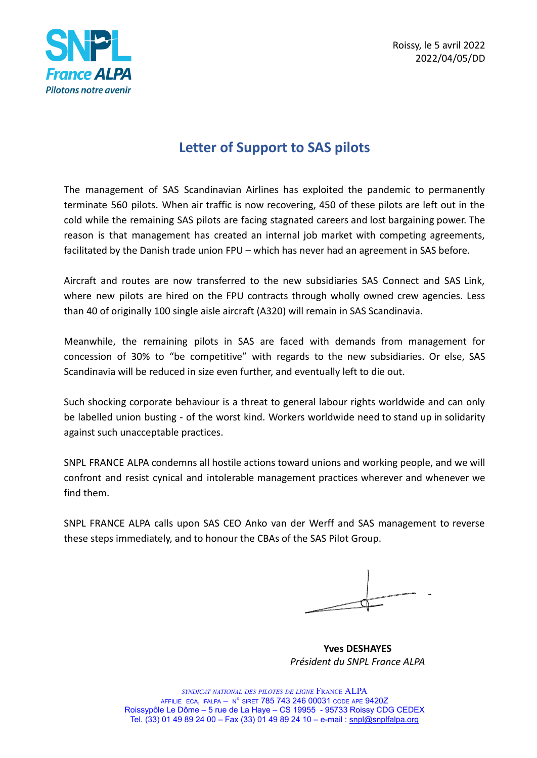

Roissy, le 5 avril 2022 2022/04/05/DD

# **Letter of Support to SAS pilots**

The management of SAS Scandinavian Airlines has exploited the pandemic to permanently terminate 560 pilots. When air traffic is now recovering, 450 of these pilots are left out in the cold while the remaining SAS pilots are facing stagnated careers and lost bargaining power. The reason is that management has created an internal job market with competing agreements, facilitated by the Danish trade union FPU – which has never had an agreement in SAS before.

Aircraft and routes are now transferred to the new subsidiaries SAS Connect and SAS Link, where new pilots are hired on the FPU contracts through wholly owned crew agencies. Less than 40 of originally 100 single aisle aircraft (A320) will remain in SAS Scandinavia.

Meanwhile, the remaining pilots in SAS are faced with demands from management for concession of 30% to "be competitive" with regards to the new subsidiaries. Or else, SAS Scandinavia will be reduced in size even further, and eventually left to die out.

Such shocking corporate behaviour is a threat to general labour rights worldwide and can only be labelled union busting - of the worst kind. Workers worldwide need to stand up in solidarity against such unacceptable practices.

SNPL FRANCE ALPA condemns all hostile actions toward unions and working people, and we will confront and resist cynical and intolerable management practices wherever and whenever we find them.

SNPL FRANCE ALPA calls upon SAS CEO Anko van der Werff and SAS management to reverse these steps immediately, and to honour the CBAs of the SAS Pilot Group.

**Yves DESHAYES** *Président du SNPL France ALPA*